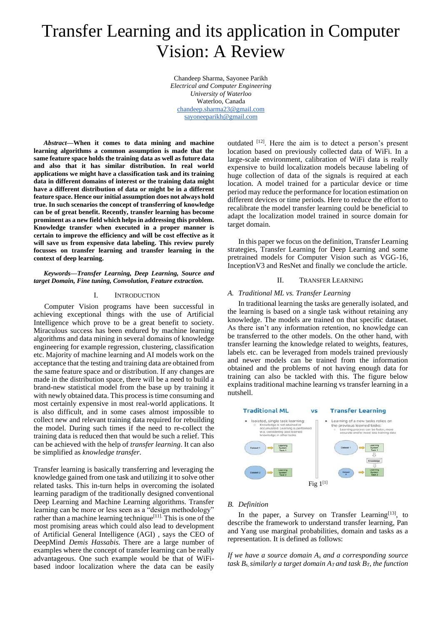# Transfer Learning and its application in Computer Vision: A Review

Chandeep Sharma, Sayonee Parikh *Electrical and Computer Engineering University of Waterloo*  Waterloo, Canada [chandeep.sharma23@gmail.com](mailto:chandeep.sharma23@gmail.com) [sayoneeparikh@gmail.com](mailto:sayoneeparikh@gmail.com)

*Abstract***—When it comes to data mining and machine learning algorithms a common assumption is made that the same feature space holds the training data as well as future data and also that it has similar distribution. In real world applications we might have a classification task and its training data in different domains of interest or the training data might have a different distribution of data or might be in a different feature space. Hence our initial assumption does not always hold true. In such scenarios the concept of transferring of knowledge can be of great benefit. Recently, transfer learning has become prominent as a new field which helps in addressing this problem. Knowledge transfer when executed in a proper manner is certain to improve the efficiency and will be cost effective as it will save us from expensive data labeling. This review purely focusses on transfer learning and transfer learning in the context of deep learning.**

#### *Keywords—Transfer Learning, Deep Learning, Source and target Domain, Fine tuning, Convolution, Feature extraction.*

#### I. INTRODUCTION

Computer Vision programs have been successful in achieving exceptional things with the use of Artificial Intelligence which prove to be a great benefit to society. Miraculous success has been endured by machine learning algorithms and data mining in several domains of knowledge engineering for example regression, clustering, classification etc. Majority of machine learning and AI models work on the acceptance that the testing and training data are obtained from the same feature space and or distribution. If any changes are made in the distribution space, there will be a need to build a brand-new statistical model from the base up by training it with newly obtained data. This process is time consuming and most certainly expensive in most real-world applications. It is also difficult, and in some cases almost impossible to collect new and relevant training data required for rebuilding the model. During such times if the need to re-collect the training data is reduced then that would be such a relief. This can be achieved with the help of *transfer learning*. It can also be simplified as *knowledge transfer.*

Transfer learning is basically transferring and leveraging the knowledge gained from one task and utilizing it to solve other related tasks. This in-turn helps in overcoming the isolated learning paradigm of the traditionally designed conventional Deep Learning and Machine Learning algorithms. Transfer learning can be more or less seen as a "design methodology" rather than a machine learning technique<sup>[11].</sup> This is one of the most promising areas which could also lead to development of Artificial General Intelligence (AGI) , says the CEO of DeepMind *Demis Hassabis*. There are a large number of examples where the concept of transfer learning can be really advantageous. One such example would be that of WiFibased indoor localization where the data can be easily

outdated [12]. Here the aim is to detect a person's present location based on previously collected data of WiFi. In a large-scale environment, calibration of WiFi data is really expensive to build localization models because labeling of huge collection of data of the signals is required at each location. A model trained for a particular device or time period may reduce the performance for location estimation on different devices or time periods. Here to reduce the effort to recalibrate the model transfer learning could be beneficial to adapt the localization model trained in source domain for target domain.

In this paper we focus on the definition, Transfer Learning strategies, Transfer Learning for Deep Learning and some pretrained models for Computer Vision such as VGG-16, InceptionV3 and ResNet and finally we conclude the article.

#### II. TRANSFER LEARNING

#### *A. Traditional ML vs. Transfer Learning*

In traditional learning the tasks are generally isolated, and the learning is based on a single task without retaining any knowledge. The models are trained on that specific dataset. As there isn't any information retention, no knowledge can be transferred to the other models. On the other hand, with transfer learning the knowledge related to weights, features, labels etc. can be leveraged from models trained previously and newer models can be trained from the information obtained and the problems of not having enough data for training can also be tackled with this. The figure below explains traditional machine learning vs transfer learning in a nutshell.



#### *B. Definition*

In the paper, a Survey on Transfer Learning<sup>[13]</sup>, to describe the framework to understand transfer learning, Pan and Yang use marginal probabilities, domain and tasks as a representation. It is defined as follows:

*If we have a source domain A<sup>s</sup> and a corresponding source task B<sub>s</sub>*, *similarly a target domain*  $A_T$  *and task B<sub>T</sub>, the function*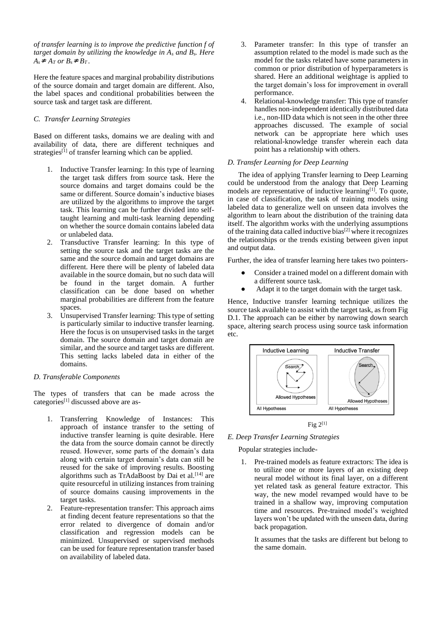*of transfer learning is to improve the predictive function f of target domain by utilizing the knowledge in A<sup>s</sup> and Bs. Here*   $A_s \neq A_T$  *or*  $B_s \neq B_T$ .

Here the feature spaces and marginal probability distributions of the source domain and target domain are different. Also, the label spaces and conditional probabilities between the source task and target task are different.

# *C. Transfer Learning Strategies*

Based on different tasks, domains we are dealing with and availability of data, there are different techniques and strategies<sup>[1]</sup> of transfer learning which can be applied.

- 1. Inductive Transfer learning: In this type of learning the target task differs from source task. Here the source domains and target domains could be the same or different. Source domain's inductive biases are utilized by the algorithms to improve the target task. This learning can be further divided into selftaught learning and multi-task learning depending on whether the source domain contains labeled data or unlabeled data.
- 2. Transductive Transfer learning: In this type of setting the source task and the target tasks are the same and the source domain and target domains are different. Here there will be plenty of labeled data available in the source domain, but no such data will be found in the target domain. A further classification can be done based on whether marginal probabilities are different from the feature spaces.
- 3. Unsupervised Transfer learning: This type of setting is particularly similar to inductive transfer learning. Here the focus is on unsupervised tasks in the target domain. The source domain and target domain are similar, and the source and target tasks are different. This setting lacks labeled data in either of the domains.

## *D. Transferable Components*

The types of transfers that can be made across the categories[1] discussed above are as-

- 1. Transferring Knowledge of Instances: This approach of instance transfer to the setting of inductive transfer learning is quite desirable. Here the data from the source domain cannot be directly reused. However, some parts of the domain's data along with certain target domain's data can still be reused for the sake of improving results. Boosting algorithms such as TrAdaBoost by Dai et al.<sup>[14]</sup> are quite resourceful in utilizing instances from training of source domains causing improvements in the target tasks.
- 2. Feature-representation transfer: This approach aims at finding decent feature representations so that the error related to divergence of domain and/or classification and regression models can be minimized. Unsupervised or supervised methods can be used for feature representation transfer based on availability of labeled data.
- 3. Parameter transfer: In this type of transfer an assumption related to the model is made such as the model for the tasks related have some parameters in common or prior distribution of hyperparameters is shared. Here an additional weightage is applied to the target domain's loss for improvement in overall performance.
- 4. Relational-knowledge transfer: This type of transfer handles non-independent identically distributed data i.e., non-IID data which is not seen in the other three approaches discussed. The example of social network can be appropriate here which uses relational-knowledge transfer wherein each data point has a relationship with others.

## *D. Transfer Learning for Deep Learning*

The idea of applying Transfer learning to Deep Learning could be understood from the analogy that Deep Learning models are representative of inductive learning<sup>[1]</sup>. To quote, in case of classification, the task of training models using labeled data to generalize well on unseen data involves the algorithm to learn about the distribution of the training data itself. The algorithm works with the underlying assumptions of the training data called inductive bias[2] where it recognizes the relationships or the trends existing between given input and output data.

Further, the idea of transfer learning here takes two pointers-

- Consider a trained model on a different domain with a different source task.
- Adapt it to the target domain with the target task.

Hence, Inductive transfer learning technique utilizes the source task available to assist with the target task, as from Fig D.1. The approach can be either by narrowing down search space, altering search process using source task information etc.



Fig  $2^{[1]}$ 

*E. Deep Transfer Learning Strategies*

Popular strategies include-

1. Pre-trained models as feature extractors: The idea is to utilize one or more layers of an existing deep neural model without its final layer, on a different yet related task as general feature extractor. This way, the new model revamped would have to be trained in a shallow way, improving computation time and resources. Pre-trained model's weighted layers won't be updated with the unseen data, during back propagation.

It assumes that the tasks are different but belong to the same domain.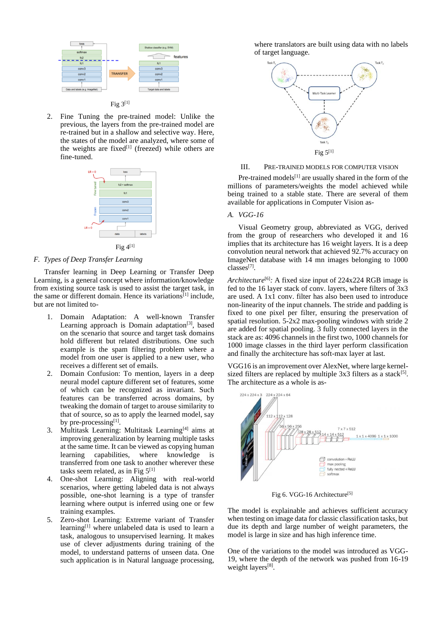

2. Fine Tuning the pre-trained model: Unlike the previous, the layers from the pre-trained model are re-trained but in a shallow and selective way. Here, the states of the model are analyzed, where some of the weights are fixed $[1]$  (freezed) while others are fine-tuned.



# *F. Types of Deep Transfer Learning*

Transfer learning in Deep Learning or Transfer Deep Learning, is a general concept where information/knowledge from existing source task is used to assist the target task, in the same or different domain. Hence its variations<sup>[1]</sup> include, but are not limited to-

- 1. Domain Adaptation: A well-known Transfer Learning approach is Domain adaptation<sup>[3]</sup>, based on the scenario that source and target task domains hold different but related distributions. One such example is the spam filtering problem where a model from one user is applied to a new user, who receives a different set of emails.
- 2. Domain Confusion: To mention, layers in a deep neural model capture different set of features, some of which can be recognized as invariant. Such features can be transferred across domains, by tweaking the domain of target to arouse similarity to that of source, so as to apply the learned model, say by pre-processing $^{[1]}$ .
- 3. Multitask Learning: Multitask Learning<sup>[4]</sup> aims at improving generalization by learning multiple tasks at the same time. It can be viewed as copying human<br>learning capabilities, where knowledge is learning capabilities, where knowledge is transferred from one task to another wherever these tasks seem related, as in Fig  $5^{[1]}$
- 4. One-shot Learning: Aligning with real-world scenarios, where getting labeled data is not always possible, one-shot learning is a type of transfer learning where output is inferred using one or few training examples.
- 5. Zero-shot Learning: Extreme variant of Transfer learning $[1]$  where unlabeled data is used to learn a task, analogous to unsupervised learning. It makes use of clever adjustments during training of the model, to understand patterns of unseen data. One such application is in Natural language processing,

where translators are built using data with no labels of target language.



#### III. PRE-TRAINED MODELS FOR COMPUTER VISION

Pre-trained models $[1]$  are usually shared in the form of the millions of parameters/weights the model achieved while being trained to a stable state. There are several of them available for applications in Computer Vision as-

## *A. VGG-16*

Visual Geometry group, abbreviated as VGG, derived from the group of researchers who developed it and 16 implies that its architecture has 16 weight layers. It is a deep convolution neural network that achieved 92.7% accuracy on ImageNet database with 14 mn images belonging to 1000 classes[7] .

*Architecture*<sup>[6]</sup>: A fixed size input of 224x224 RGB image is fed to the 16 layer stack of conv. layers, where filters of  $3x3$ are used. A 1x1 conv. filter has also been used to introduce non-linearity of the input channels. The stride and padding is fixed to one pixel per filter, ensuring the preservation of spatial resolution. 5-2x2 max-pooling windows with stride 2 are added for spatial pooling. 3 fully connected layers in the stack are as: 4096 channels in the first two, 1000 channels for 1000 image classes in the third layer perform classification and finally the architecture has soft-max layer at last.

VGG16 is an improvement over AlexNet, where large kernelsized filters are replaced by multiple  $3x3$  filters as a stack<sup>[5]</sup>. The architecture as a whole is as-



Fig 6. VGG-16 Architecture<sup>[5]</sup>

The model is explainable and achieves sufficient accuracy when testing on image data for classic classification tasks, but due its depth and large number of weight parameters, the model is large in size and has high inference time.

One of the variations to the model was introduced as VGG-19, where the depth of the network was pushed from 16-19 weight layers<sup>[8]</sup>.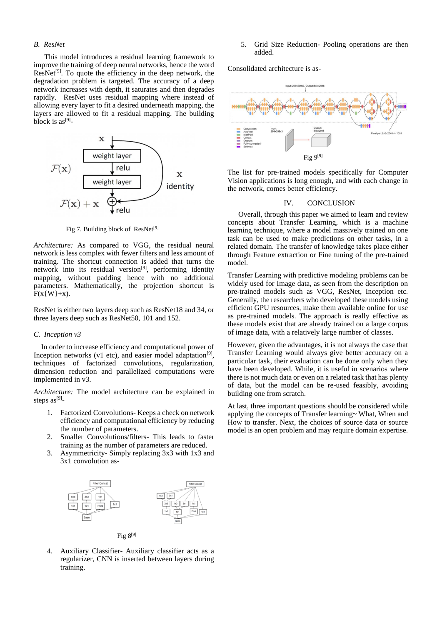# *B. ResNet*

This model introduces a residual learning framework to improve the training of deep neural networks, hence the word  $ResNet<sup>[9]</sup>$ . To quote the efficiency in the deep network, the degradation problem is targeted. The accuracy of a deep network increases with depth, it saturates and then degrades rapidly. ResNet uses residual mapping where instead of allowing every layer to fit a desired underneath mapping, the layers are allowed to fit a residual mapping. The building block is  $as^{[9]}$ -



Fig 7. Building block of ResNet<sup>[9]</sup>

*Architecture:* As compared to VGG, the residual neural network is less complex with fewer filters and less amount of training. The shortcut connection is added that turns the network into its residual version<sup>[9]</sup>, performing identity mapping, without padding hence with no additional parameters. Mathematically, the projection shortcut is  $F(x\{W\}+x)$ .

ResNet is either two layers deep such as ResNet18 and 34, or three layers deep such as ResNet50, 101 and 152.

#### *C. Inception v3*

In order to increase efficiency and computational power of Inception networks (v1 etc), and easier model adaptation $[9]$ , techniques of factorized convolutions, regularization, dimension reduction and parallelized computations were implemented in v3.

*Architecture:* The model architecture can be explained in steps  $as^{[9]}$ -

- 1. Factorized Convolutions- Keeps a check on network efficiency and computational efficiency by reducing the number of parameters.
- 2. Smaller Convolutions/filters- This leads to faster training as the number of parameters are reduced.
- 3. Asymmetricity- Simply replacing 3x3 with 1x3 and 3x1 convolution as-



- Fig  $8^{[9]}$
- 4. Auxiliary Classifier- Auxiliary classifier acts as a regularizer, CNN is inserted between layers during training.

5. Grid Size Reduction- Pooling operations are then added.

Consolidated architecture is as-



The list for pre-trained models specifically for Computer Vision applications is long enough, and with each change in the network, comes better efficiency.

# IV. CONCLUSION

Overall, through this paper we aimed to learn and review concepts about Transfer Learning, which is a machine learning technique, where a model massively trained on one task can be used to make predictions on other tasks, in a related domain. The transfer of knowledge takes place either through Feature extraction or Fine tuning of the pre-trained model.

Transfer Learning with predictive modeling problems can be widely used for Image data, as seen from the description on pre-trained models such as VGG, ResNet, Inception etc. Generally, the researchers who developed these models using efficient GPU resources, make them available online for use as pre-trained models. The approach is really effective as these models exist that are already trained on a large corpus of image data, with a relatively large number of classes.

However, given the advantages, it is not always the case that Transfer Learning would always give better accuracy on a particular task, their evaluation can be done only when they have been developed. While, it is useful in scenarios where there is not much data or even on a related task that has plenty of data, but the model can be re-used feasibly, avoiding building one from scratch.

At last, three important questions should be considered while applying the concepts of Transfer learning~ What, When and How to transfer. Next, the choices of source data or source model is an open problem and may require domain expertise.